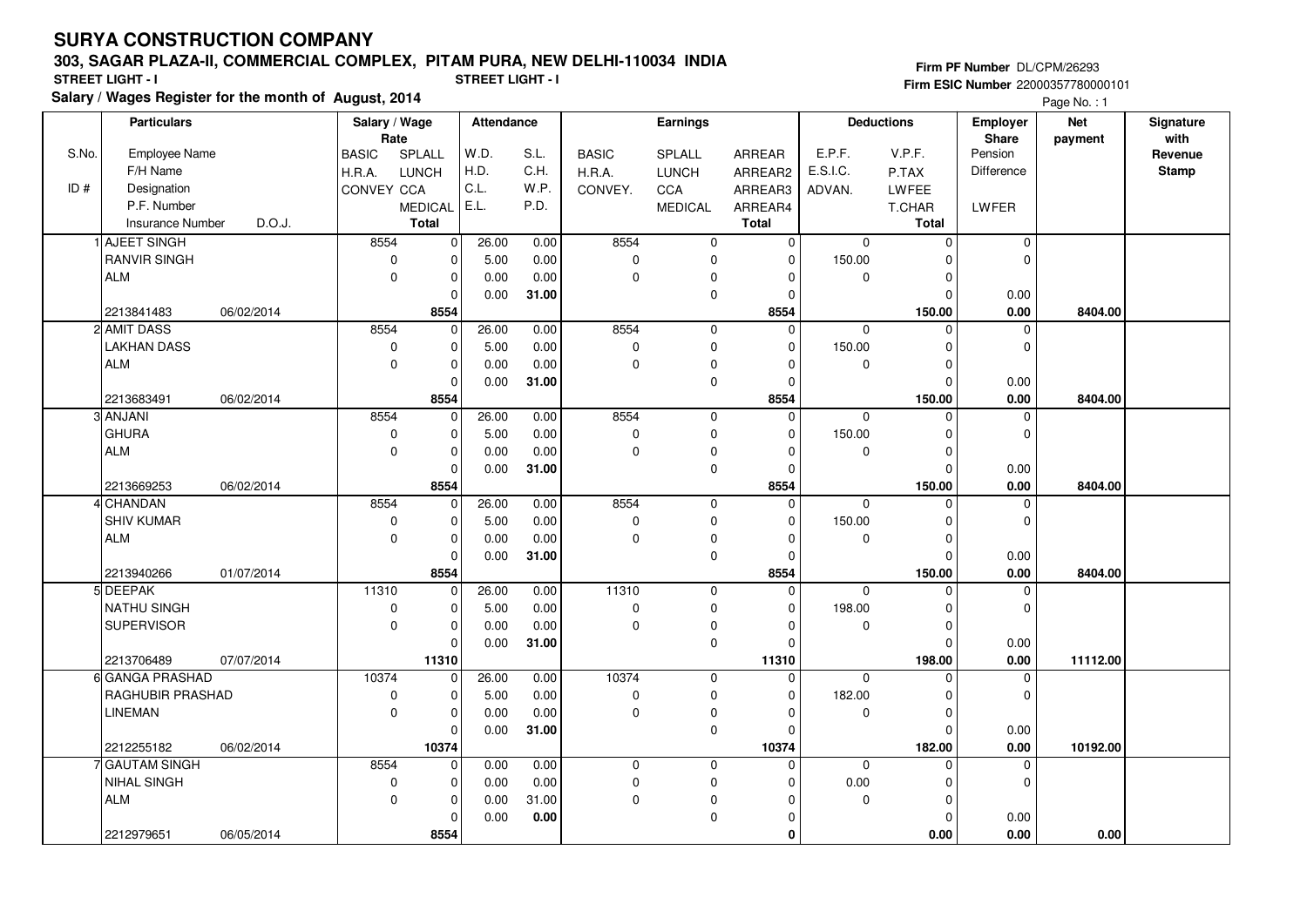#### **303, SAGAR PLAZA-II, COMMERCIAL COMPLEX, PITAM PURA, NEW DELHI-110034 INDIA**

**Salary / Wages Register for the month of August, 2014 STREET LIGHT - I STREET LIGHT - I**

**Firm PF Number** DL/CPM/26293 **Firm ESIC Number** 22000357780000101

Page No.: 1

|       | <b>Particulars</b>                         | Salary / Wage<br>Rate           | Attendance   |              | Earnings                 |                  |                      |             | <b>Deductions</b>     | Employer<br>Share | <b>Net</b><br>payment | Signature<br>with |
|-------|--------------------------------------------|---------------------------------|--------------|--------------|--------------------------|------------------|----------------------|-------------|-----------------------|-------------------|-----------------------|-------------------|
| S.No. | Employee Name                              | SPLALL<br><b>BASIC</b>          | W.D.         | S.L.         | <b>BASIC</b>             | SPLALL           | ARREAR               | E.P.F.      | V.P.F.                | Pension           |                       | Revenue           |
|       | F/H Name                                   | <b>LUNCH</b><br>H.R.A.          | H.D.         | C.H.         | H.R.A.                   | <b>LUNCH</b>     | ARREAR2              | E.S.I.C.    | P.TAX                 | Difference        |                       | <b>Stamp</b>      |
| ID#   | Designation                                | CONVEY CCA                      | C.L.         | W.P.         | CONVEY.                  | CCA              | ARREAR3              | ADVAN.      | LWFEE                 |                   |                       |                   |
|       | P.F. Number                                | <b>MEDICAL</b>                  | E.L.         | P.D.         |                          | <b>MEDICAL</b>   | ARREAR4              |             | T.CHAR                | LWFER             |                       |                   |
|       | D.O.J.<br>Insurance Number                 | <b>Total</b>                    |              |              |                          |                  | <b>Total</b>         |             | Total                 |                   |                       |                   |
|       | 1 AJEET SINGH                              | 8554<br>$\mathbf 0$             | 26.00        | 0.00         | 8554                     | $\mathbf 0$      | $\mathbf 0$          | $\Omega$    | $\mathbf 0$           | 0                 |                       |                   |
|       | <b>RANVIR SINGH</b>                        | $\mathbf 0$<br>$\mathbf 0$      | 5.00         | 0.00         | 0                        | 0                | $\mathbf 0$          | 150.00      | $\Omega$              | $\mathbf 0$       |                       |                   |
|       | ALM                                        | $\mathbf 0$<br>$\mathbf 0$      | 0.00         | 0.00         | 0                        | 0                | $\mathbf 0$          | $\mathbf 0$ | $\mathbf 0$           |                   |                       |                   |
|       |                                            | $\mathbf 0$                     | 0.00         | 31.00        |                          | $\mathbf 0$      | $\mathbf 0$          |             | $\mathbf 0$           | 0.00              |                       |                   |
|       | 2213841483<br>06/02/2014                   | 8554                            |              |              |                          |                  | 8554                 |             | 150.00                | 0.00              | 8404.00               |                   |
|       | 2 AMIT DASS                                | 8554<br>$\mathbf 0$             | 26.00        | 0.00         | 8554                     | 0                | $\mathbf 0$          | $\mathbf 0$ | $\Omega$              | $\mathbf 0$       |                       |                   |
|       | <b>LAKHAN DASS</b>                         | $\mathbf 0$<br>$\Omega$         | 5.00         | 0.00         | 0                        | 0                | $\Omega$             | 150.00      | $\Omega$              | $\mathbf 0$       |                       |                   |
|       | ALM                                        | $\mathbf 0$<br>$\mathbf 0$      | 0.00         | 0.00         | 0                        | 0                | $\mathbf 0$          | $\mathbf 0$ | 0                     |                   |                       |                   |
|       |                                            | $\mathbf 0$                     | 0.00         | 31.00        |                          | $\mathbf 0$      | $\mathbf 0$          |             | $\Omega$              | 0.00              |                       |                   |
|       | 06/02/2014<br>2213683491                   | 8554                            |              |              |                          |                  | 8554                 |             | 150.00                | 0.00              | 8404.00               |                   |
|       | 3 ANJANI                                   | 8554<br>$\mathbf 0$             | 26.00        | 0.00         | 8554                     | 0                | $\mathbf 0$          | $\Omega$    | $\Omega$              | $\mathbf 0$       |                       |                   |
|       | GHURA                                      | 0<br>0                          | 5.00         | 0.00         | 0                        | 0                | $\mathbf 0$          | 150.00      | $\mathbf 0$           | $\mathbf 0$       |                       |                   |
|       | ALM                                        | $\mathbf 0$<br>$\mathbf 0$      | 0.00         | 0.00         | 0                        | 0                | $\mathbf 0$          | $\mathbf 0$ | $\mathbf 0$           |                   |                       |                   |
|       |                                            | 0                               | 0.00         | 31.00        |                          | 0                | $\mathbf 0$          |             | $\Omega$              | 0.00              |                       |                   |
|       | 2213669253<br>06/02/2014                   | 8554                            |              |              |                          |                  | 8554                 |             | 150.00                | 0.00              | 8404.00               |                   |
|       | 4 CHANDAN                                  | 8554<br>$\Omega$                | 26.00        | 0.00         | 8554                     | 0                | $\mathbf 0$          | $\mathbf 0$ | $\Omega$              | $\mathbf 0$       |                       |                   |
|       | <b>SHIV KUMAR</b>                          | $\mathbf 0$<br>$\mathbf 0$      | 5.00         | 0.00         | 0                        | 0                | $\mathbf 0$          | 150.00      | $\mathbf 0$           | $\mathbf 0$       |                       |                   |
|       | ALM                                        | $\mathbf 0$<br>$\mathbf 0$      | 0.00         | 0.00         | $\pmb{0}$                | 0                | $\mathbf 0$          | $\mathbf 0$ | $\mathbf 0$           |                   |                       |                   |
|       |                                            | 0                               | 0.00         | 31.00        |                          | 0                | $\mathbf 0$          |             | $\mathbf 0$           | 0.00              |                       |                   |
|       | 2213940266<br>01/07/2014                   | 8554                            |              |              |                          |                  | 8554                 |             | 150.00                | 0.00              | 8404.00               |                   |
|       | 5 DEEPAK                                   | 11310<br>$\Omega$               | 26.00        | 0.00         | 11310                    | 0                | $\mathbf 0$          | $\mathbf 0$ | $\Omega$              | 0                 |                       |                   |
|       | NATHU SINGH                                | $\mathbf 0$<br>$\mathbf 0$      | 5.00         | 0.00         | 0                        | 0                | $\mathbf 0$          | 198.00      | $\mathbf 0$           | $\mathbf 0$       |                       |                   |
|       | SUPERVISOR                                 | $\mathbf 0$<br>$\mathbf 0$      | 0.00         | 0.00         | $\pmb{0}$                | 0                | $\mathbf 0$          | $\mathbf 0$ | $\mathbf 0$           |                   |                       |                   |
|       |                                            | $\Omega$                        | 0.00         | 31.00        |                          | 0                | $\mathbf 0$          |             | $\Omega$              | 0.00              |                       |                   |
|       | 07/07/2014<br>2213706489                   | 11310                           |              |              |                          |                  | 11310                |             | 198.00                | 0.00              | 11112.00              |                   |
|       | 6 GANGA PRASHAD                            | 10374<br>$\mathbf 0$            | 26.00        | 0.00         | 10374                    | 0                | $\mathbf 0$          | $\mathbf 0$ | $\Omega$              | 0                 |                       |                   |
|       | <b>RAGHUBIR PRASHAD</b><br><b>LINEMAN</b>  | $\mathbf 0$<br>0<br>$\mathbf 0$ | 5.00         | 0.00<br>0.00 | $\pmb{0}$<br>$\mathbf 0$ | 0                | $\mathbf 0$          | 182.00      | $\mathbf 0$           | $\mathbf 0$       |                       |                   |
|       |                                            | 0                               | 0.00         |              |                          | 0                | $\mathbf 0$          | 0           | $\mathbf 0$           |                   |                       |                   |
|       |                                            | $\mathbf 0$                     | 0.00         | 31.00        |                          | 0                | $\mathbf 0$          |             | $\Omega$              | 0.00<br>0.00      |                       |                   |
|       | 2212255182<br>06/02/2014<br>7 GAUTAM SINGH | 10374<br>8554                   |              |              | 0                        |                  | 10374<br>$\mathbf 0$ | $\mathbf 0$ | 182.00<br>$\mathbf 0$ |                   | 10192.00              |                   |
|       | NIHAL SINGH                                | 0<br>$\mathbf 0$<br>0           | 0.00<br>0.00 | 0.00<br>0.00 | $\pmb{0}$                | $\mathbf 0$<br>0 | $\mathbf 0$          | $0.00\,$    | $\mathbf 0$           | 0<br>$\mathbf 0$  |                       |                   |
|       | ALM                                        | $\Omega$<br>0                   | 0.00         | 31.00        | $\Omega$                 | 0                | $\Omega$             | $\Omega$    | $\Omega$              |                   |                       |                   |
|       |                                            | $\Omega$                        | 0.00         | $0.00\,$     |                          | $\mathbf 0$      | $\mathbf 0$          |             | $\mathbf 0$           | 0.00              |                       |                   |
|       | 2212979651 <br>06/05/2014                  | 8554                            |              |              |                          |                  | $\mathbf{0}$         |             | 0.00                  | 0.00              | 0.00                  |                   |
|       |                                            |                                 |              |              |                          |                  |                      |             |                       |                   |                       |                   |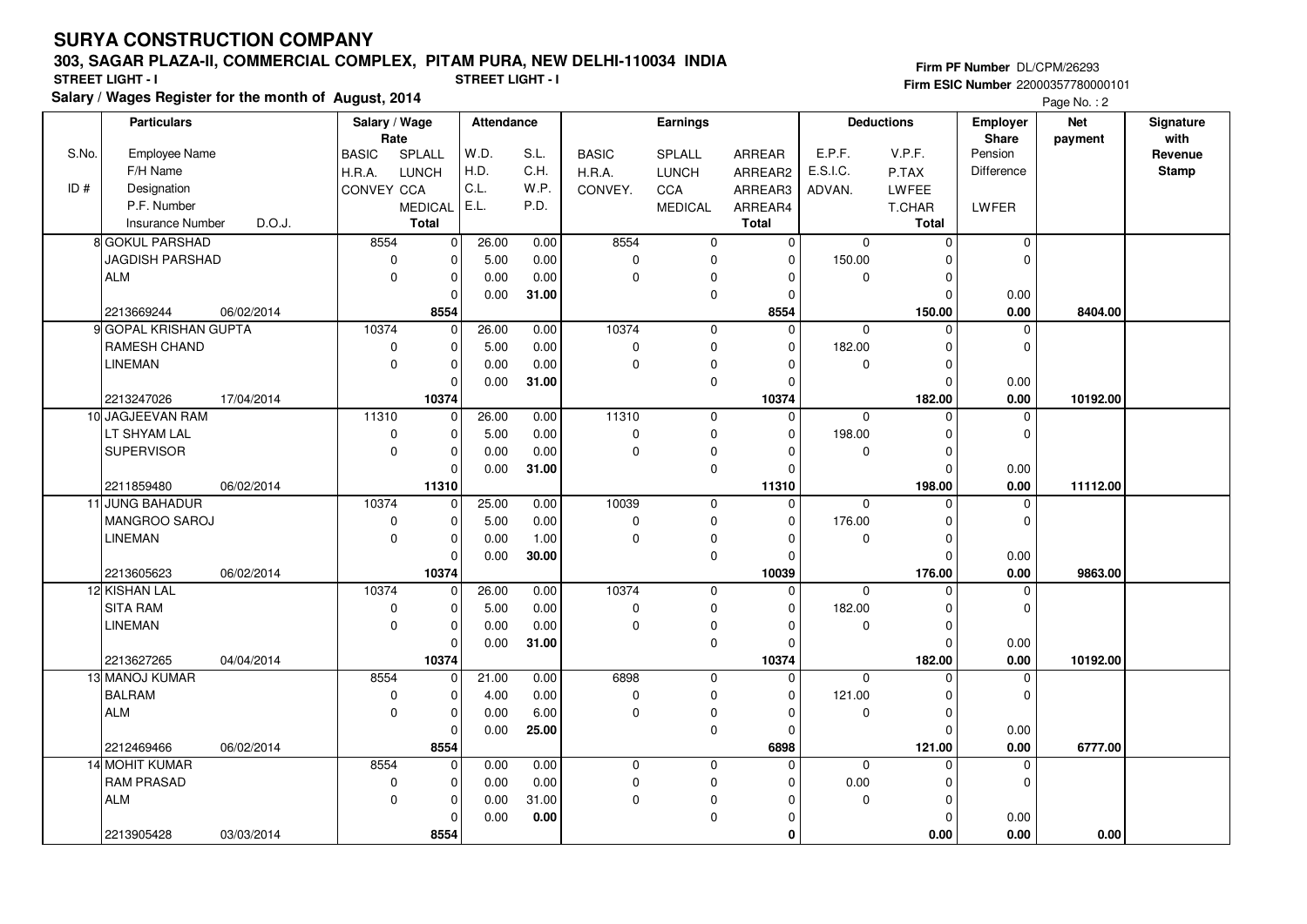#### **303, SAGAR PLAZA-II, COMMERCIAL COMPLEX, PITAM PURA, NEW DELHI-110034 INDIA**

**Salary / Wages Register for the month of August, 2014 STREET LIGHT - I STREET LIGHT - I**

**Firm PF Number** DL/CPM/26293 **Firm ESIC Number** 22000357780000101

Page No.: 2

|       | <b>Particulars</b>               |            | Salary / Wage<br>Rate |                                | Attendance |              | Earnings                  |                |                         | <b>Deductions</b> |                        | <b>Employer</b>            | <b>Net</b> | Signature    |
|-------|----------------------------------|------------|-----------------------|--------------------------------|------------|--------------|---------------------------|----------------|-------------------------|-------------------|------------------------|----------------------------|------------|--------------|
| S.No. |                                  |            |                       |                                | W.D.       |              |                           |                |                         | E.P.F.            | V.P.F.                 | Share<br>Pension           | payment    | with         |
|       | <b>Employee Name</b><br>F/H Name |            | <b>BASIC</b>          | SPLALL                         | H.D.       | S.L.<br>C.H. | <b>BASIC</b>              | SPLALL         | ARREAR                  | E.S.I.C.          |                        | <b>Difference</b>          |            | Revenue      |
| ID#   |                                  |            | H.R.A.                | LUNCH                          | C.L.       | W.P.         | H.R.A.                    | <b>LUNCH</b>   | ARREAR2                 |                   | P.TAX                  |                            |            | <b>Stamp</b> |
|       | Designation<br>P.F. Number       |            | CONVEY CCA            |                                | E.L.       |              | CONVEY.                   | CCA            | ARREAR3                 | ADVAN.            | LWFEE                  |                            |            |              |
|       |                                  | D.O.J.     |                       | <b>MEDICAL</b><br><b>Total</b> |            | P.D.         |                           | <b>MEDICAL</b> | ARREAR4<br><b>Total</b> |                   | T.CHAR<br><b>Total</b> | LWFER                      |            |              |
|       | <b>Insurance Number</b>          |            |                       |                                |            |              |                           |                |                         |                   |                        |                            |            |              |
|       | 8 GOKUL PARSHAD                  |            | 8554                  | $\overline{0}$                 | 26.00      | 0.00         | 8554                      | $\mathbf 0$    | $\overline{0}$          | $\mathbf 0$       | $\mathbf 0$            | $\pmb{0}$                  |            |              |
|       | JAGDISH PARSHAD                  |            | $\mathbf 0$           | $\mathbf 0$                    | 5.00       | 0.00         | 0                         | $\mathbf 0$    | 0                       | 150.00            | $\Omega$               | $\Omega$                   |            |              |
|       | ALM                              |            | $\Omega$              | $\mathbf 0$                    | 0.00       | 0.00         | $\mathbf 0$               | $\mathbf 0$    | $\Omega$                | $\Omega$          | $\Omega$               |                            |            |              |
|       |                                  |            |                       | $\Omega$                       | 0.00       | 31.00        |                           | $\mathbf 0$    | $\mathbf 0$             |                   | $\Omega$               | 0.00                       |            |              |
|       | 2213669244                       | 06/02/2014 |                       | 8554                           |            |              |                           |                | 8554                    |                   | 150.00                 | 0.00                       | 8404.00    |              |
|       | 9 GOPAL KRISHAN GUPTA            |            | 10374                 | $\mathbf 0$                    | 26.00      | 0.00         | 10374                     | $\mathsf 0$    | $\mathbf 0$             | $\mathbf 0$       | $\mathbf 0$            | 0                          |            |              |
|       | RAMESH CHAND                     |            |                       | 0<br>$\mathbf 0$               | 5.00       | 0.00         | 0                         | $\mathbf 0$    | 0                       | 182.00            | $\Omega$               | 0                          |            |              |
|       | <b>LINEMAN</b>                   |            | $\mathbf 0$           | $\mathbf 0$                    | 0.00       | 0.00         | $\mathbf 0$               | $\mathbf 0$    | $\Omega$                | $\mathbf 0$       | $\Omega$               |                            |            |              |
|       | 2213247026                       | 17/04/2014 |                       | $\mathbf 0$<br>10374           | 0.00       | 31.00        |                           | $\mathbf 0$    | 0                       |                   | $\mathbf 0$<br>182.00  | 0.00<br>0.00               | 10192.00   |              |
|       | 10 JAGJEEVAN RAM                 |            | 11310                 | $\mathbf 0$                    | 26.00      | 0.00         | 11310                     |                | 10374<br>$\mathbf 0$    | $\mathbf{0}$      | $\mathbf 0$            |                            |            |              |
|       | LT SHYAM LAL                     |            |                       | $\mathbf 0$                    | 5.00       | 0.00         |                           | $\mathbf 0$    | $\Omega$                | 198.00            | $\Omega$               | $\mathbf 0$<br>$\mathbf 0$ |            |              |
|       |                                  |            | 0<br>$\mathbf 0$      | $\mathbf 0$                    |            |              | $\pmb{0}$<br>$\mathbf{0}$ | $\mathbf 0$    | $\Omega$                | $\Omega$          | $\mathbf 0$            |                            |            |              |
|       | <b>SUPERVISOR</b>                |            |                       |                                | 0.00       | 0.00         |                           | $\mathbf 0$    |                         |                   |                        |                            |            |              |
|       | 2211859480                       |            |                       | $\mathbf 0$<br>11310           | 0.00       | 31.00        |                           | $\mathbf 0$    | 0<br>11310              |                   | $\mathbf 0$<br>198.00  | 0.00<br>0.00               | 11112.00   |              |
|       | 11 JUNG BAHADUR                  | 06/02/2014 | 10374                 | $\mathbf 0$                    | 25.00      | 0.00         | 10039                     | $\mathbf 0$    | $\Omega$                | $\Omega$          | $\Omega$               | 0                          |            |              |
|       | MANGROO SAROJ                    |            |                       | $\mathbf 0$<br>0               | 5.00       | 0.00         | 0                         | $\mathsf 0$    | $\Omega$                | 176.00            | $\mathbf 0$            | $\mathbf 0$                |            |              |
|       | <b>LINEMAN</b>                   |            |                       | $\mathbf 0$<br>0               | 0.00       | 1.00         | 0                         | $\mathbf 0$    | $\Omega$                | $\mathbf 0$       | $\Omega$               |                            |            |              |
|       |                                  |            |                       | $\mathbf 0$                    | 0.00       | 30.00        |                           | $\mathbf 0$    | $\Omega$                |                   | $\Omega$               | 0.00                       |            |              |
|       | 2213605623                       | 06/02/2014 |                       | 10374                          |            |              |                           |                | 10039                   |                   | 176.00                 | 0.00                       | 9863.00    |              |
|       | 12 KISHAN LAL                    |            | 10374                 | $\mathbf 0$                    | 26.00      | 0.00         | 10374                     | $\mathbf 0$    | $\Omega$                | $\Omega$          | $\Omega$               | 0                          |            |              |
|       | <b>SITA RAM</b>                  |            | 0                     | $\mathbf 0$                    | 5.00       | 0.00         | 0                         | $\mathbf 0$    | $\mathbf 0$             | 182.00            | $\Omega$               | $\Omega$                   |            |              |
|       | <b>LINEMAN</b>                   |            | $\mathbf 0$           | $\mathbf 0$                    | 0.00       | 0.00         | 0                         | $\mathbf 0$    | $\mathbf 0$             | $\mathbf 0$       | $\mathbf 0$            |                            |            |              |
|       |                                  |            |                       | $\mathbf 0$                    | 0.00       | 31.00        |                           | $\pmb{0}$      | $\mathbf 0$             |                   | $\mathbf 0$            | 0.00                       |            |              |
|       | 2213627265                       | 04/04/2014 |                       | 10374                          |            |              |                           |                | 10374                   |                   | 182.00                 | 0.00                       | 10192.00   |              |
|       | 13 MANOJ KUMAR                   |            | 8554                  | $\mathbf 0$                    | 21.00      | 0.00         | 6898                      | $\mathbf 0$    | $\Omega$                | $\Omega$          | $\Omega$               | $\Omega$                   |            |              |
|       | <b>BALRAM</b>                    |            | 0                     | $\mathbf 0$                    | 4.00       | 0.00         | 0                         | $\mathbf 0$    | $\mathbf 0$             | 121.00            | 0                      | 0                          |            |              |
|       | <b>ALM</b>                       |            | $\Omega$              | $\mathbf 0$                    | 0.00       | 6.00         | $\mathbf 0$               | $\mathbf 0$    | $\mathbf 0$             | $\mathbf 0$       | $\mathbf 0$            |                            |            |              |
|       |                                  |            |                       | $\mathbf 0$                    | 0.00       | 25.00        |                           | $\mathbf 0$    | $\mathbf 0$             |                   | $\Omega$               | 0.00                       |            |              |
|       | 2212469466                       | 06/02/2014 |                       | 8554                           |            |              |                           |                | 6898                    |                   | 121.00                 | 0.00                       | 6777.00    |              |
|       | 14 MOHIT KUMAR                   |            | 8554                  | $\mathbf 0$                    | 0.00       | 0.00         | 0                         | $\mathbf 0$    | $\Omega$                | $\mathbf 0$       | $\mathbf 0$            | 0                          |            |              |
|       | <b>RAM PRASAD</b>                |            | 0                     | $\mathbf 0$                    | 0.00       | 0.00         | 0                         | $\mathbf 0$    | $\mathbf 0$             | 0.00              | $\mathbf 0$            | $\mathbf 0$                |            |              |
|       | ALM                              |            | $\overline{0}$        | $\mathbf 0$                    | 0.00       | 31.00        | $\mathbf 0$               | $\pmb{0}$      | $\Omega$                | $\mathbf 0$       | $\mathbf 0$            |                            |            |              |
|       |                                  |            |                       | $\Omega$                       | 0.00       | 0.00         |                           | $\mathbf 0$    | $\Omega$                |                   | $\Omega$               | 0.00                       |            |              |
|       | 2213905428                       | 03/03/2014 |                       | 8554                           |            |              |                           |                | $\mathbf 0$             |                   | 0.00                   | 0.00                       | 0.00       |              |
|       |                                  |            |                       |                                |            |              |                           |                |                         |                   |                        |                            |            |              |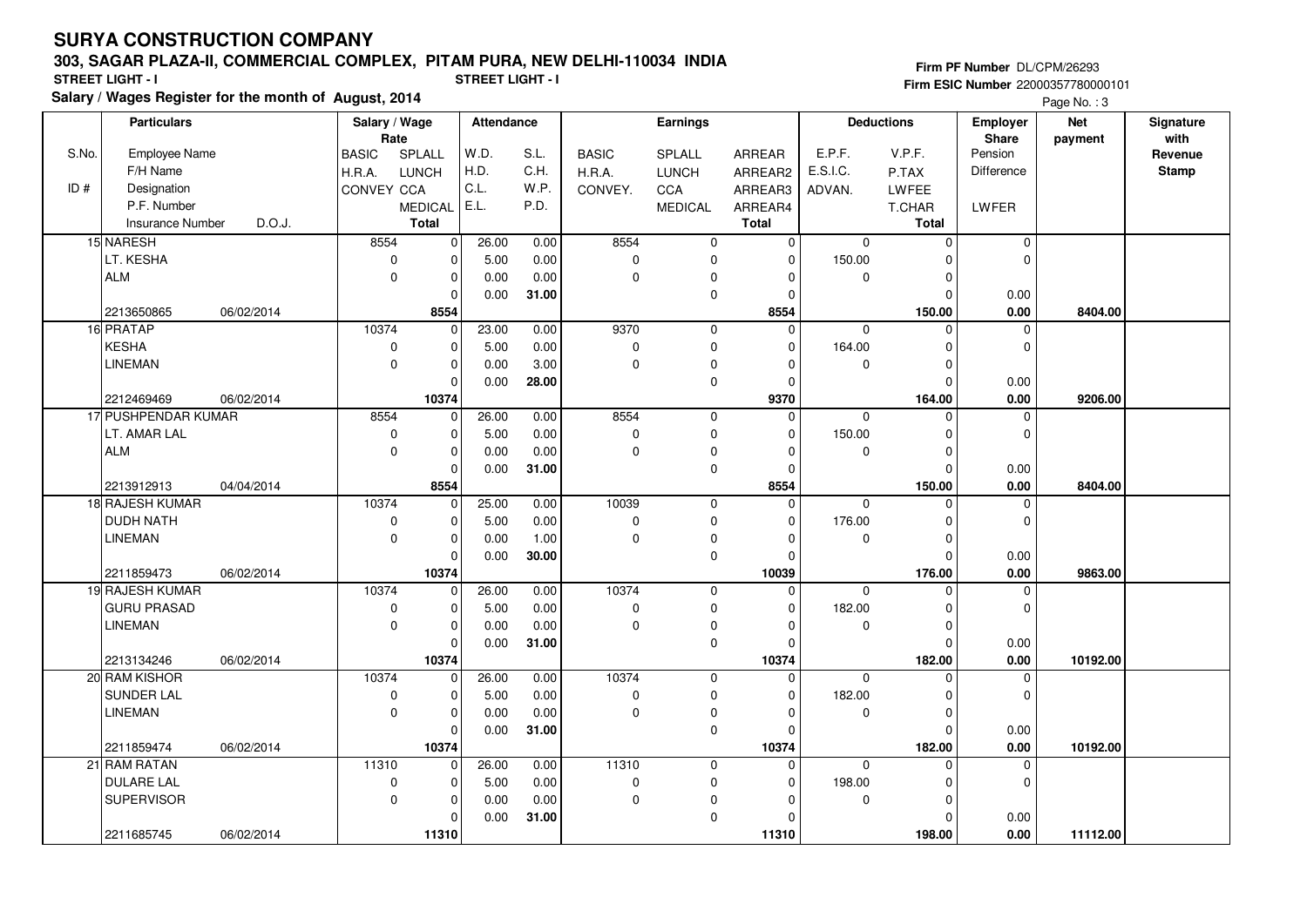#### **303, SAGAR PLAZA-II, COMMERCIAL COMPLEX, PITAM PURA, NEW DELHI-110034 INDIA**

**Firm PF Number** DL/CPM/26293 **Firm ESIC Number** 22000357780000101

**Salary / Wages Register for the month of August, 2014 STREET LIGHT - I STREET LIGHT - I** Page No. : 3

|       | <b>Particulars</b>         |            | Salary / Wage<br><b>Attendance</b><br>Rate |                         | <b>Earnings</b> |       |              |                | <b>Deductions</b>    | Employer | <b>Net</b>            | Signature            |          |                 |
|-------|----------------------------|------------|--------------------------------------------|-------------------------|-----------------|-------|--------------|----------------|----------------------|----------|-----------------------|----------------------|----------|-----------------|
| S.No. | Employee Name              |            | <b>BASIC</b>                               | SPLALL                  | W.D.            | S.L.  | <b>BASIC</b> | SPLALL         | ARREAR               | E.P.F.   | V.P.F.                | Share<br>Pension     | payment  | with<br>Revenue |
|       | F/H Name                   |            | H.R.A.                                     | LUNCH                   | H.D.            | C.H.  | H.R.A.       | <b>LUNCH</b>   | ARREAR2              | E.S.I.C. | P.TAX                 | Difference           |          | <b>Stamp</b>    |
| ID#   | Designation                |            | CONVEY CCA                                 |                         | C.L.            | W.P.  |              |                |                      |          |                       |                      |          |                 |
|       | P.F. Number                |            |                                            | <b>MEDICAL</b>          | E.L.            | P.D.  | CONVEY.      | CCA            | ARREAR3              | ADVAN.   | LWFEE                 | LWFER                |          |                 |
|       | <b>Insurance Number</b>    | D.O.J.     |                                            | Total                   |                 |       |              | <b>MEDICAL</b> | ARREAR4<br>Total     |          | T.CHAR<br>Total       |                      |          |                 |
|       | 15 NARESH                  |            | 8554                                       | $\overline{\mathbf{0}}$ | 26.00           | 0.00  | 8554         | $\mathbf 0$    | $\overline{0}$       | $\Omega$ | $\mathbf 0$           | $\mathbf 0$          |          |                 |
|       | LT. KESHA                  |            | $\pmb{0}$                                  | $\pmb{0}$               | 5.00            | 0.00  | 0            | $\mathbf 0$    | $\Omega$             | 150.00   | $\Omega$              | $\Omega$             |          |                 |
|       | <b>ALM</b>                 |            | $\mathbf 0$                                | $\mathbf 0$             | 0.00            | 0.00  | $\mathbf{0}$ | $\mathbf 0$    | $\Omega$             | $\Omega$ | $\mathbf 0$           |                      |          |                 |
|       |                            |            |                                            | $\mathbf 0$             | 0.00            | 31.00 |              | $\mathbf 0$    | 0                    |          | $\mathbf 0$           | 0.00                 |          |                 |
|       | 2213650865                 | 06/02/2014 |                                            | 8554                    |                 |       |              |                | 8554                 |          | 150.00                | 0.00                 | 8404.00  |                 |
|       | 16 PRATAP                  |            | 10374                                      | 0                       | 23.00           | 0.00  | 9370         | $\mathbf 0$    | $\Omega$             | $\Omega$ | $\Omega$              | $\mathbf 0$          |          |                 |
|       | <b>KESHA</b>               |            | 0                                          | $\pmb{0}$               | 5.00            | 0.00  | 0            | $\mathbf 0$    | $\Omega$             | 164.00   | $\Omega$              | $\Omega$             |          |                 |
|       | <b>LINEMAN</b>             |            | $\mathbf 0$                                | $\pmb{0}$               | 0.00            | 3.00  | $\mathbf 0$  | $\pmb{0}$      | $\Omega$             | 0        | $\Omega$              |                      |          |                 |
|       |                            |            |                                            | $\mathbf 0$             | 0.00            | 28.00 |              | $\mathbf 0$    | 0                    |          | $\Omega$              | 0.00                 |          |                 |
|       | 2212469469                 | 06/02/2014 |                                            | 10374                   |                 |       |              |                | 9370                 |          | 164.00                | 0.00                 | 9206.00  |                 |
|       | 17 PUSHPENDAR KUMAR        |            | 8554                                       | 0                       | 26.00           | 0.00  | 8554         | $\mathbf 0$    | 0                    | $\Omega$ | $\Omega$              | $\mathbf 0$          |          |                 |
|       | LT. AMAR LAL               |            | $\mathbf 0$                                | $\mathbf 0$             | 5.00            | 0.00  | $\mathbf 0$  | $\mathbf 0$    | $\Omega$             | 150.00   | $\Omega$              | $\Omega$             |          |                 |
|       | <b>ALM</b>                 |            | $\mathbf 0$                                | $\pmb{0}$               | 0.00            | 0.00  | $\mathbf 0$  | $\pmb{0}$      | $\Omega$             | 0        | $\mathbf 0$           |                      |          |                 |
|       |                            |            |                                            | $\mathbf 0$             | 0.00            | 31.00 |              | $\pmb{0}$      | $\Omega$             |          | $\mathbf 0$           | 0.00                 |          |                 |
|       | 2213912913                 | 04/04/2014 |                                            | 8554                    |                 |       |              |                | 8554                 |          | 150.00                | 0.00                 | 8404.00  |                 |
|       | 18 RAJESH KUMAR            |            | 10374                                      | $\mathbf 0$             | 25.00           | 0.00  | 10039        | $\mathbf 0$    | 0                    | 0        | $\Omega$              | $\Omega$             |          |                 |
|       | <b>DUDH NATH</b>           |            | $\mathbf 0$                                | $\pmb{0}$               | 5.00            | 0.00  | 0            | $\mathbf 0$    | $\Omega$             | 176.00   | $\Omega$              | $\Omega$             |          |                 |
|       | <b>LINEMAN</b>             |            | $\mathbf 0$                                | $\pmb{0}$               | 0.00            | 1.00  | 0            | $\pmb{0}$      | $\Omega$             | 0        | $\mathbf 0$           |                      |          |                 |
|       |                            |            |                                            | $\Omega$                | 0.00            | 30.00 |              | $\mathbf 0$    | $\Omega$             |          | $\Omega$              | 0.00                 |          |                 |
|       | 2211859473                 | 06/02/2014 |                                            | 10374                   |                 |       |              |                | 10039                |          | 176.00                | 0.00                 | 9863.00  |                 |
|       | 19 RAJESH KUMAR            |            | 10374                                      | 0                       | 26.00           | 0.00  | 10374        | $\mathbf 0$    | $\Omega$             | 0        | $\Omega$              | $\Omega$             |          |                 |
|       | <b>GURU PRASAD</b>         |            | $\mathbf 0$                                | $\mathbf 0$             | 5.00            | 0.00  | $\pmb{0}$    | $\mathbf 0$    | $\Omega$             | 182.00   | $\mathbf 0$           | $\Omega$             |          |                 |
|       | <b>LINEMAN</b>             |            | $\pmb{0}$                                  | $\mathbf 0$             | 0.00            | 0.00  | 0            | $\pmb{0}$      | $\Omega$             | 0        | 0                     |                      |          |                 |
|       |                            |            |                                            | $\Omega$                | 0.00            | 31.00 |              | $\pmb{0}$      | $\Omega$             |          | $\Omega$              | 0.00                 |          |                 |
|       | 2213134246                 | 06/02/2014 |                                            | 10374                   |                 |       |              |                | 10374                |          | 182.00                | 0.00                 | 10192.00 |                 |
|       | 20 RAM KISHOR              |            | 10374                                      | 0                       | 26.00           | 0.00  | 10374        | $\mathbf 0$    | $\Omega$             | $\Omega$ | $\Omega$              | $\Omega$             |          |                 |
|       | SUNDER LAL                 |            | $\mathbf 0$                                | $\pmb{0}$               | 5.00            | 0.00  | $\pmb{0}$    | $\pmb{0}$      | 0                    | 182.00   | $\mathbf 0$           | $\Omega$             |          |                 |
|       | <b>LINEMAN</b>             |            | $\Omega$                                   | $\overline{0}$          | 0.00            | 0.00  | $\mathbf 0$  | $\pmb{0}$      | $\Omega$             | 0        | $\Omega$              |                      |          |                 |
|       |                            |            |                                            | $\Omega$                | 0.00            | 31.00 |              | $\mathbf 0$    | $\Omega$             |          | $\Omega$              | 0.00                 |          |                 |
|       | 2211859474<br>21 RAM RATAN | 06/02/2014 | 11310                                      | 10374<br>$\mathbf 0$    | 26.00           | 0.00  | 11310        | $\mathbf 0$    | 10374<br>$\mathbf 0$ | 0        | 182.00<br>$\mathbf 0$ | 0.00<br>$\mathbf{0}$ | 10192.00 |                 |
|       | <b>DULARE LAL</b>          |            | 0                                          | 0                       | 5.00            | 0.00  | 0            | 0              | $\Omega$             | 198.00   | $\mathbf 0$           | $\mathbf{0}$         |          |                 |
|       | <b>SUPERVISOR</b>          |            | $\mathbf 0$                                | $\mathbf 0$             | 0.00            | 0.00  | 0            | $\mathbf 0$    | $\Omega$             | 0        | $\Omega$              |                      |          |                 |
|       |                            |            |                                            | $\Omega$                | 0.00            | 31.00 |              | $\mathbf 0$    | $\Omega$             |          | $\Omega$              | 0.00                 |          |                 |
|       | 2211685745                 | 06/02/2014 |                                            | 11310                   |                 |       |              |                | 11310                |          | 198.00                | 0.00                 | 11112.00 |                 |
|       |                            |            |                                            |                         |                 |       |              |                |                      |          |                       |                      |          |                 |